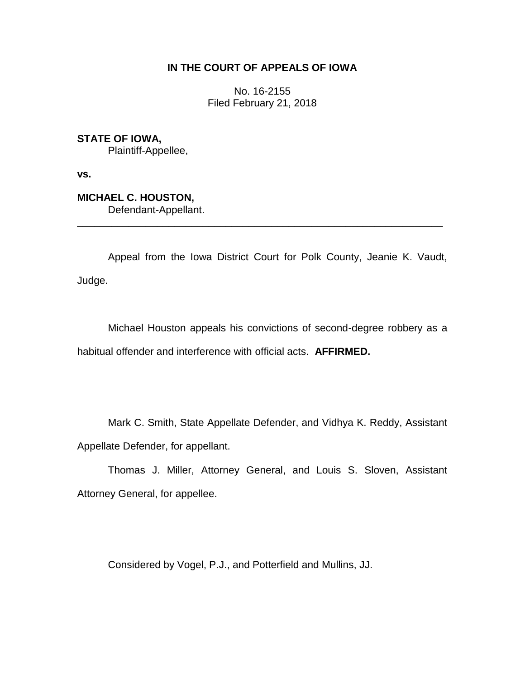## **IN THE COURT OF APPEALS OF IOWA**

No. 16-2155 Filed February 21, 2018

**STATE OF IOWA,** Plaintiff-Appellee,

**vs.**

**MICHAEL C. HOUSTON,** Defendant-Appellant.

Appeal from the Iowa District Court for Polk County, Jeanie K. Vaudt, Judge.

\_\_\_\_\_\_\_\_\_\_\_\_\_\_\_\_\_\_\_\_\_\_\_\_\_\_\_\_\_\_\_\_\_\_\_\_\_\_\_\_\_\_\_\_\_\_\_\_\_\_\_\_\_\_\_\_\_\_\_\_\_\_\_\_

Michael Houston appeals his convictions of second-degree robbery as a habitual offender and interference with official acts. **AFFIRMED.** 

Mark C. Smith, State Appellate Defender, and Vidhya K. Reddy, Assistant Appellate Defender, for appellant.

Thomas J. Miller, Attorney General, and Louis S. Sloven, Assistant Attorney General, for appellee.

Considered by Vogel, P.J., and Potterfield and Mullins, JJ.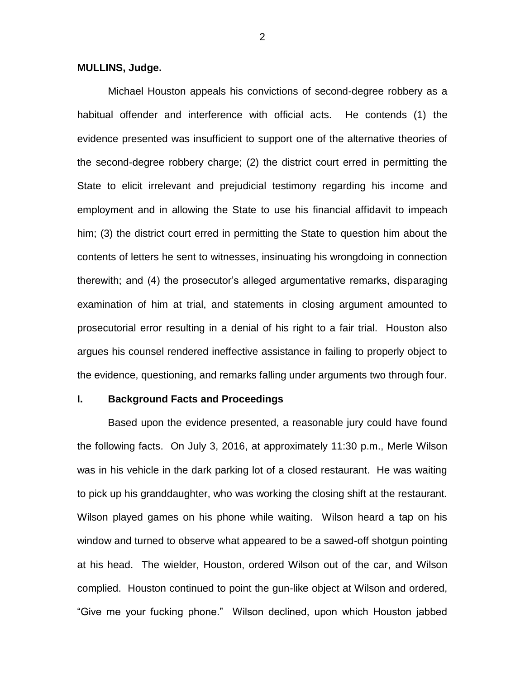### **MULLINS, Judge.**

Michael Houston appeals his convictions of second-degree robbery as a habitual offender and interference with official acts. He contends (1) the evidence presented was insufficient to support one of the alternative theories of the second-degree robbery charge; (2) the district court erred in permitting the State to elicit irrelevant and prejudicial testimony regarding his income and employment and in allowing the State to use his financial affidavit to impeach him; (3) the district court erred in permitting the State to question him about the contents of letters he sent to witnesses, insinuating his wrongdoing in connection therewith; and (4) the prosecutor's alleged argumentative remarks, disparaging examination of him at trial, and statements in closing argument amounted to prosecutorial error resulting in a denial of his right to a fair trial. Houston also argues his counsel rendered ineffective assistance in failing to properly object to the evidence, questioning, and remarks falling under arguments two through four.

### **I. Background Facts and Proceedings**

Based upon the evidence presented, a reasonable jury could have found the following facts. On July 3, 2016, at approximately 11:30 p.m., Merle Wilson was in his vehicle in the dark parking lot of a closed restaurant. He was waiting to pick up his granddaughter, who was working the closing shift at the restaurant. Wilson played games on his phone while waiting. Wilson heard a tap on his window and turned to observe what appeared to be a sawed-off shotgun pointing at his head. The wielder, Houston, ordered Wilson out of the car, and Wilson complied. Houston continued to point the gun-like object at Wilson and ordered, "Give me your fucking phone." Wilson declined, upon which Houston jabbed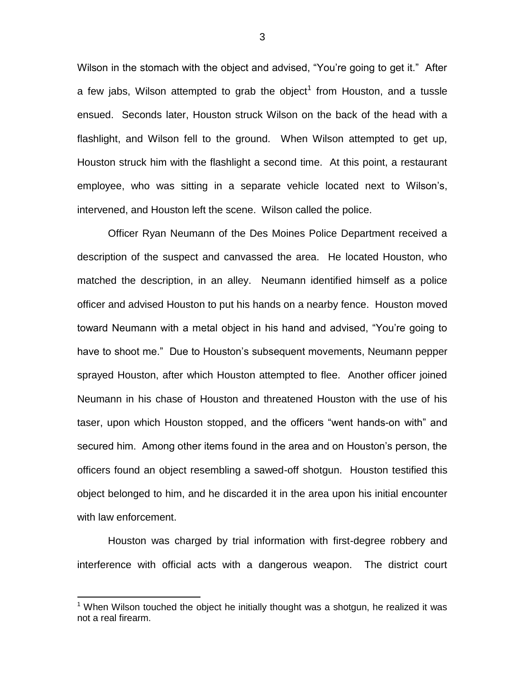Wilson in the stomach with the object and advised, "You're going to get it." After a few jabs, Wilson attempted to grab the object<sup>1</sup> from Houston, and a tussle ensued. Seconds later, Houston struck Wilson on the back of the head with a flashlight, and Wilson fell to the ground. When Wilson attempted to get up, Houston struck him with the flashlight a second time. At this point, a restaurant employee, who was sitting in a separate vehicle located next to Wilson's, intervened, and Houston left the scene. Wilson called the police.

Officer Ryan Neumann of the Des Moines Police Department received a description of the suspect and canvassed the area. He located Houston, who matched the description, in an alley. Neumann identified himself as a police officer and advised Houston to put his hands on a nearby fence. Houston moved toward Neumann with a metal object in his hand and advised, "You're going to have to shoot me." Due to Houston's subsequent movements, Neumann pepper sprayed Houston, after which Houston attempted to flee. Another officer joined Neumann in his chase of Houston and threatened Houston with the use of his taser, upon which Houston stopped, and the officers "went hands-on with" and secured him. Among other items found in the area and on Houston's person, the officers found an object resembling a sawed-off shotgun. Houston testified this object belonged to him, and he discarded it in the area upon his initial encounter with law enforcement.

Houston was charged by trial information with first-degree robbery and interference with official acts with a dangerous weapon. The district court

 $\overline{a}$ 

 $1$  When Wilson touched the object he initially thought was a shotgun, he realized it was not a real firearm.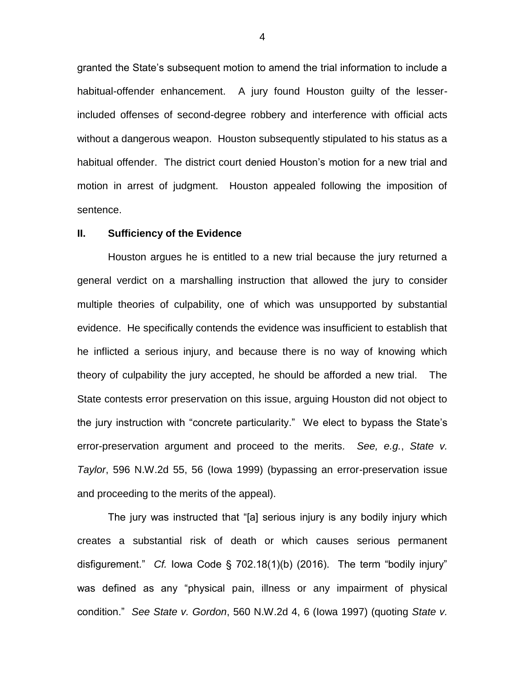granted the State's subsequent motion to amend the trial information to include a habitual-offender enhancement. A jury found Houston guilty of the lesserincluded offenses of second-degree robbery and interference with official acts without a dangerous weapon. Houston subsequently stipulated to his status as a habitual offender. The district court denied Houston's motion for a new trial and motion in arrest of judgment. Houston appealed following the imposition of sentence.

#### **II. Sufficiency of the Evidence**

Houston argues he is entitled to a new trial because the jury returned a general verdict on a marshalling instruction that allowed the jury to consider multiple theories of culpability, one of which was unsupported by substantial evidence. He specifically contends the evidence was insufficient to establish that he inflicted a serious injury, and because there is no way of knowing which theory of culpability the jury accepted, he should be afforded a new trial. The State contests error preservation on this issue, arguing Houston did not object to the jury instruction with "concrete particularity." We elect to bypass the State's error-preservation argument and proceed to the merits. *See, e.g.*, *State v. Taylor*, 596 N.W.2d 55, 56 (Iowa 1999) (bypassing an error-preservation issue and proceeding to the merits of the appeal).

The jury was instructed that "[a] serious injury is any bodily injury which creates a substantial risk of death or which causes serious permanent disfigurement." *Cf.* Iowa Code § 702.18(1)(b) (2016). The term "bodily injury" was defined as any "physical pain, illness or any impairment of physical condition." *See State v. Gordon*, 560 N.W.2d 4, 6 (Iowa 1997) (quoting *State v.*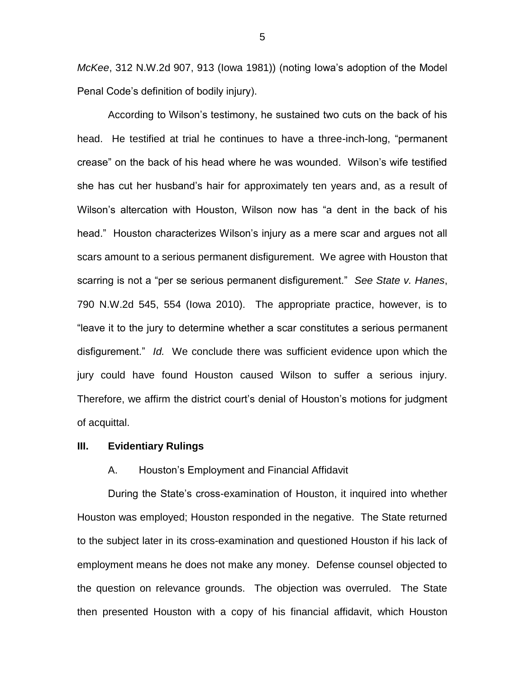*McKee*, 312 N.W.2d 907, 913 (Iowa 1981)) (noting Iowa's adoption of the Model Penal Code's definition of bodily injury).

According to Wilson's testimony, he sustained two cuts on the back of his head. He testified at trial he continues to have a three-inch-long, "permanent crease" on the back of his head where he was wounded. Wilson's wife testified she has cut her husband's hair for approximately ten years and, as a result of Wilson's altercation with Houston, Wilson now has "a dent in the back of his head." Houston characterizes Wilson's injury as a mere scar and argues not all scars amount to a serious permanent disfigurement. We agree with Houston that scarring is not a "per se serious permanent disfigurement." *See State v. Hanes*, 790 N.W.2d 545, 554 (Iowa 2010). The appropriate practice, however, is to "leave it to the jury to determine whether a scar constitutes a serious permanent disfigurement." *Id.* We conclude there was sufficient evidence upon which the jury could have found Houston caused Wilson to suffer a serious injury. Therefore, we affirm the district court's denial of Houston's motions for judgment of acquittal.

#### **III. Evidentiary Rulings**

#### A. Houston's Employment and Financial Affidavit

During the State's cross-examination of Houston, it inquired into whether Houston was employed; Houston responded in the negative. The State returned to the subject later in its cross-examination and questioned Houston if his lack of employment means he does not make any money. Defense counsel objected to the question on relevance grounds. The objection was overruled. The State then presented Houston with a copy of his financial affidavit, which Houston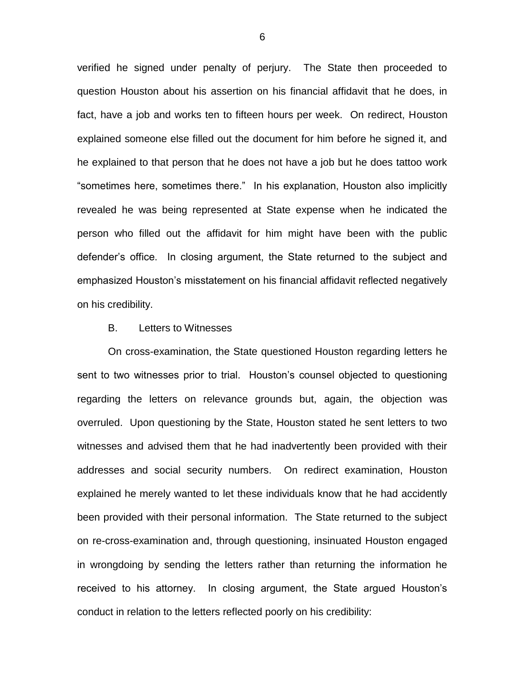verified he signed under penalty of perjury. The State then proceeded to question Houston about his assertion on his financial affidavit that he does, in fact, have a job and works ten to fifteen hours per week. On redirect, Houston explained someone else filled out the document for him before he signed it, and he explained to that person that he does not have a job but he does tattoo work "sometimes here, sometimes there." In his explanation, Houston also implicitly revealed he was being represented at State expense when he indicated the person who filled out the affidavit for him might have been with the public defender's office. In closing argument, the State returned to the subject and emphasized Houston's misstatement on his financial affidavit reflected negatively on his credibility.

#### B. Letters to Witnesses

On cross-examination, the State questioned Houston regarding letters he sent to two witnesses prior to trial. Houston's counsel objected to questioning regarding the letters on relevance grounds but, again, the objection was overruled. Upon questioning by the State, Houston stated he sent letters to two witnesses and advised them that he had inadvertently been provided with their addresses and social security numbers. On redirect examination, Houston explained he merely wanted to let these individuals know that he had accidently been provided with their personal information. The State returned to the subject on re-cross-examination and, through questioning, insinuated Houston engaged in wrongdoing by sending the letters rather than returning the information he received to his attorney. In closing argument, the State argued Houston's conduct in relation to the letters reflected poorly on his credibility: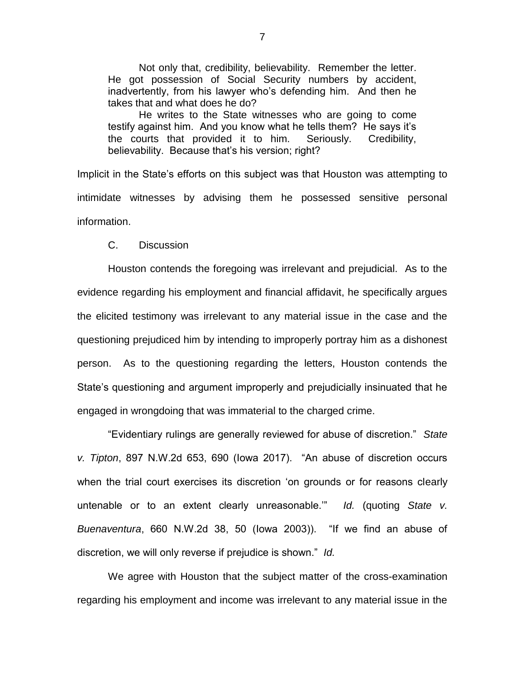Not only that, credibility, believability. Remember the letter. He got possession of Social Security numbers by accident, inadvertently, from his lawyer who's defending him. And then he takes that and what does he do?

He writes to the State witnesses who are going to come testify against him. And you know what he tells them? He says it's the courts that provided it to him. Seriously. Credibility, believability. Because that's his version; right?

Implicit in the State's efforts on this subject was that Houston was attempting to intimidate witnesses by advising them he possessed sensitive personal information.

C. Discussion

Houston contends the foregoing was irrelevant and prejudicial. As to the evidence regarding his employment and financial affidavit, he specifically argues the elicited testimony was irrelevant to any material issue in the case and the questioning prejudiced him by intending to improperly portray him as a dishonest person. As to the questioning regarding the letters, Houston contends the State's questioning and argument improperly and prejudicially insinuated that he engaged in wrongdoing that was immaterial to the charged crime.

"Evidentiary rulings are generally reviewed for abuse of discretion." *State v. Tipton*, 897 N.W.2d 653, 690 (Iowa 2017). "An abuse of discretion occurs when the trial court exercises its discretion 'on grounds or for reasons clearly untenable or to an extent clearly unreasonable.'" *Id.* (quoting *State v. Buenaventura*, 660 N.W.2d 38, 50 (Iowa 2003)). "If we find an abuse of discretion, we will only reverse if prejudice is shown." *Id.*

We agree with Houston that the subject matter of the cross-examination regarding his employment and income was irrelevant to any material issue in the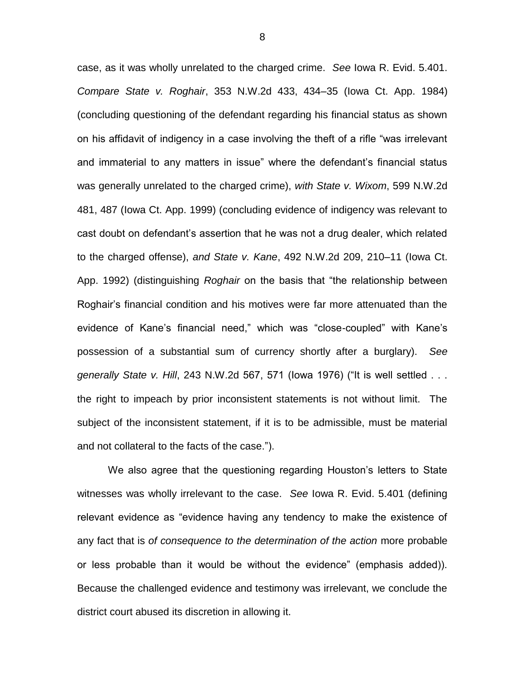case, as it was wholly unrelated to the charged crime. *See* Iowa R. Evid. 5.401. *Compare State v. Roghair*, 353 N.W.2d 433, 434–35 (Iowa Ct. App. 1984) (concluding questioning of the defendant regarding his financial status as shown on his affidavit of indigency in a case involving the theft of a rifle "was irrelevant and immaterial to any matters in issue" where the defendant's financial status was generally unrelated to the charged crime), *with State v. Wixom*, 599 N.W.2d 481, 487 (Iowa Ct. App. 1999) (concluding evidence of indigency was relevant to cast doubt on defendant's assertion that he was not a drug dealer, which related to the charged offense), *and State v. Kane*, 492 N.W.2d 209, 210–11 (Iowa Ct. App. 1992) (distinguishing *Roghair* on the basis that "the relationship between Roghair's financial condition and his motives were far more attenuated than the evidence of Kane's financial need," which was "close-coupled" with Kane's possession of a substantial sum of currency shortly after a burglary). *See generally State v. Hill*, 243 N.W.2d 567, 571 (Iowa 1976) ("It is well settled . . . the right to impeach by prior inconsistent statements is not without limit. The subject of the inconsistent statement, if it is to be admissible, must be material and not collateral to the facts of the case.").

We also agree that the questioning regarding Houston's letters to State witnesses was wholly irrelevant to the case. *See* Iowa R. Evid. 5.401 (defining relevant evidence as "evidence having any tendency to make the existence of any fact that is *of consequence to the determination of the action* more probable or less probable than it would be without the evidence" (emphasis added)). Because the challenged evidence and testimony was irrelevant, we conclude the district court abused its discretion in allowing it.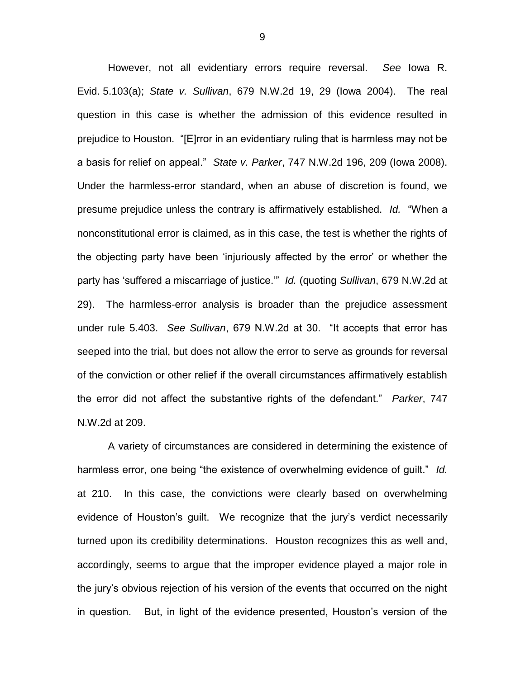However, not all evidentiary errors require reversal. *See* Iowa R. Evid. 5.103(a); *State v. Sullivan*, 679 N.W.2d 19, 29 (Iowa 2004). The real question in this case is whether the admission of this evidence resulted in prejudice to Houston. "[E]rror in an evidentiary ruling that is harmless may not be a basis for relief on appeal." *State v. Parker*, 747 N.W.2d 196, 209 (Iowa 2008). Under the harmless-error standard, when an abuse of discretion is found, we presume prejudice unless the contrary is affirmatively established. *Id.* "When a nonconstitutional error is claimed, as in this case, the test is whether the rights of the objecting party have been 'injuriously affected by the error' or whether the party has 'suffered a miscarriage of justice.'" *Id.* (quoting *Sullivan*, 679 N.W.2d at 29). The harmless-error analysis is broader than the prejudice assessment under rule 5.403. *See Sullivan*, 679 N.W.2d at 30. "It accepts that error has seeped into the trial, but does not allow the error to serve as grounds for reversal of the conviction or other relief if the overall circumstances affirmatively establish the error did not affect the substantive rights of the defendant." *Parker*, 747 N.W.2d at 209.

A variety of circumstances are considered in determining the existence of harmless error, one being "the existence of overwhelming evidence of guilt." *Id.* at 210. In this case, the convictions were clearly based on overwhelming evidence of Houston's guilt. We recognize that the jury's verdict necessarily turned upon its credibility determinations. Houston recognizes this as well and, accordingly, seems to argue that the improper evidence played a major role in the jury's obvious rejection of his version of the events that occurred on the night in question. But, in light of the evidence presented, Houston's version of the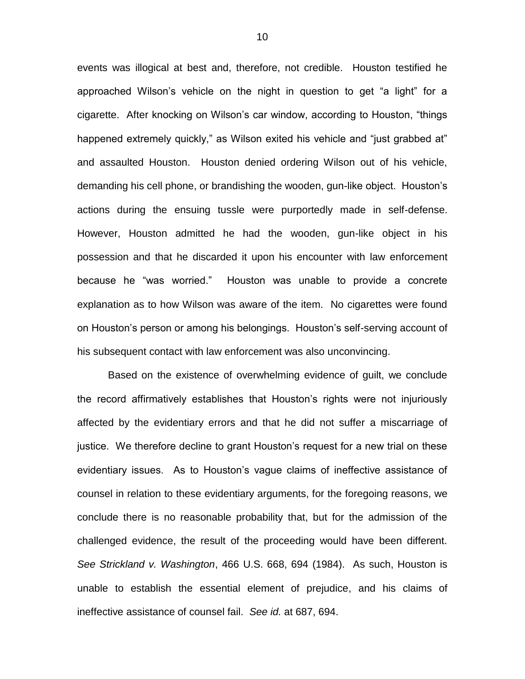events was illogical at best and, therefore, not credible. Houston testified he approached Wilson's vehicle on the night in question to get "a light" for a cigarette. After knocking on Wilson's car window, according to Houston, "things happened extremely quickly," as Wilson exited his vehicle and "just grabbed at" and assaulted Houston. Houston denied ordering Wilson out of his vehicle, demanding his cell phone, or brandishing the wooden, gun-like object. Houston's actions during the ensuing tussle were purportedly made in self-defense. However, Houston admitted he had the wooden, gun-like object in his possession and that he discarded it upon his encounter with law enforcement because he "was worried." Houston was unable to provide a concrete explanation as to how Wilson was aware of the item. No cigarettes were found on Houston's person or among his belongings. Houston's self-serving account of his subsequent contact with law enforcement was also unconvincing.

Based on the existence of overwhelming evidence of guilt, we conclude the record affirmatively establishes that Houston's rights were not injuriously affected by the evidentiary errors and that he did not suffer a miscarriage of justice. We therefore decline to grant Houston's request for a new trial on these evidentiary issues. As to Houston's vague claims of ineffective assistance of counsel in relation to these evidentiary arguments, for the foregoing reasons, we conclude there is no reasonable probability that, but for the admission of the challenged evidence, the result of the proceeding would have been different. *See Strickland v. Washington*, 466 U.S. 668, 694 (1984). As such, Houston is unable to establish the essential element of prejudice, and his claims of ineffective assistance of counsel fail. *See id.* at 687, 694.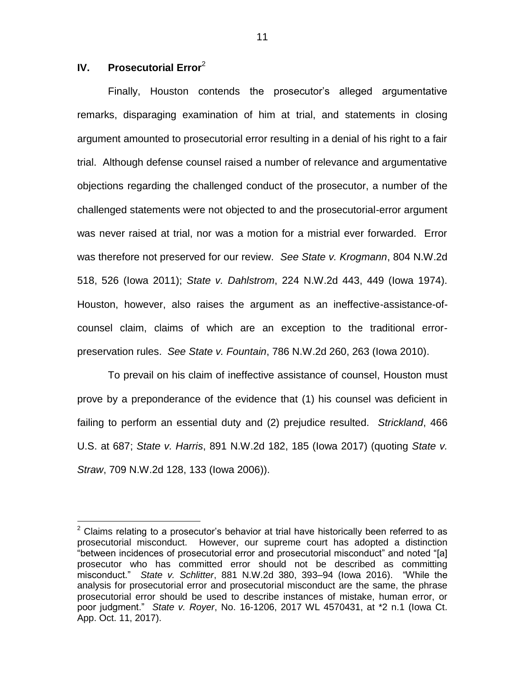# **IV. Prosecutorial Error**<sup>2</sup>

 $\overline{a}$ 

Finally, Houston contends the prosecutor's alleged argumentative remarks, disparaging examination of him at trial, and statements in closing argument amounted to prosecutorial error resulting in a denial of his right to a fair trial. Although defense counsel raised a number of relevance and argumentative objections regarding the challenged conduct of the prosecutor, a number of the challenged statements were not objected to and the prosecutorial-error argument was never raised at trial, nor was a motion for a mistrial ever forwarded. Error was therefore not preserved for our review. *See State v. Krogmann*, 804 N.W.2d 518, 526 (Iowa 2011); *State v. Dahlstrom*, 224 N.W.2d 443, 449 (Iowa 1974). Houston, however, also raises the argument as an ineffective-assistance-ofcounsel claim, claims of which are an exception to the traditional errorpreservation rules. *See State v. Fountain*, 786 N.W.2d 260, 263 (Iowa 2010).

To prevail on his claim of ineffective assistance of counsel, Houston must prove by a preponderance of the evidence that (1) his counsel was deficient in failing to perform an essential duty and (2) prejudice resulted. *Strickland*, 466 U.S. at 687; *State v. Harris*, 891 N.W.2d 182, 185 (Iowa 2017) (quoting *State v. Straw*, 709 N.W.2d 128, 133 (Iowa 2006)).

 $2$  Claims relating to a prosecutor's behavior at trial have historically been referred to as prosecutorial misconduct. However, our supreme court has adopted a distinction "between incidences of prosecutorial error and prosecutorial misconduct" and noted "[a] prosecutor who has committed error should not be described as committing misconduct." *State v. Schlitter*, 881 N.W.2d 380, 393–94 (Iowa 2016). "While the analysis for prosecutorial error and prosecutorial misconduct are the same, the phrase prosecutorial error should be used to describe instances of mistake, human error, or poor judgment." *State v. Royer*, No. 16-1206, 2017 WL 4570431, at \*2 n.1 (Iowa Ct. App. Oct. 11, 2017).